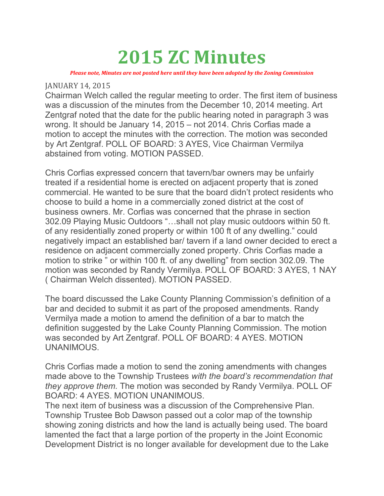# 2015 ZC Minutes

Please note, Minutes are not posted here until they have been adopted by the Zoning Commission

#### JANUARY 14, 2015

Chairman Welch called the regular meeting to order. The first item of business was a discussion of the minutes from the December 10, 2014 meeting. Art Zentgraf noted that the date for the public hearing noted in paragraph 3 was wrong. It should be January 14, 2015 – not 2014. Chris Corfias made a motion to accept the minutes with the correction. The motion was seconded by Art Zentgraf. POLL OF BOARD: 3 AYES, Vice Chairman Vermilya abstained from voting. MOTION PASSED.

Chris Corfias expressed concern that tavern/bar owners may be unfairly treated if a residential home is erected on adjacent property that is zoned commercial. He wanted to be sure that the board didn't protect residents who choose to build a home in a commercially zoned district at the cost of business owners. Mr. Corfias was concerned that the phrase in section 302.09 Playing Music Outdoors "…shall not play music outdoors within 50 ft. of any residentially zoned property or within 100 ft of any dwelling." could negatively impact an established bar/ tavern if a land owner decided to erect a residence on adjacent commercially zoned property. Chris Corfias made a motion to strike " or within 100 ft. of any dwelling" from section 302.09. The motion was seconded by Randy Vermilya. POLL OF BOARD: 3 AYES, 1 NAY ( Chairman Welch dissented). MOTION PASSED.

The board discussed the Lake County Planning Commission's definition of a bar and decided to submit it as part of the proposed amendments. Randy Vermilya made a motion to amend the definition of a bar to match the definition suggested by the Lake County Planning Commission. The motion was seconded by Art Zentgraf. POLL OF BOARD: 4 AYES. MOTION UNANIMOUS.

Chris Corfias made a motion to send the zoning amendments with changes made above to the Township Trustees with the board's recommendation that they approve them. The motion was seconded by Randy Vermilya. POLL OF BOARD: 4 AYES. MOTION UNANIMOUS.

The next item of business was a discussion of the Comprehensive Plan. Township Trustee Bob Dawson passed out a color map of the township showing zoning districts and how the land is actually being used. The board lamented the fact that a large portion of the property in the Joint Economic Development District is no longer available for development due to the Lake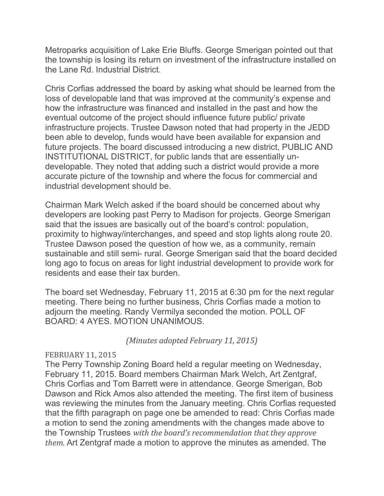Metroparks acquisition of Lake Erie Bluffs. George Smerigan pointed out that the township is losing its return on investment of the infrastructure installed on the Lane Rd. Industrial District.

Chris Corfias addressed the board by asking what should be learned from the loss of developable land that was improved at the community's expense and how the infrastructure was financed and installed in the past and how the eventual outcome of the project should influence future public/ private infrastructure projects. Trustee Dawson noted that had property in the JEDD been able to develop, funds would have been available for expansion and future projects. The board discussed introducing a new district, PUBLIC AND INSTITUTIONAL DISTRICT, for public lands that are essentially undevelopable. They noted that adding such a district would provide a more accurate picture of the township and where the focus for commercial and industrial development should be.

Chairman Mark Welch asked if the board should be concerned about why developers are looking past Perry to Madison for projects. George Smerigan said that the issues are basically out of the board's control: population, proximity to highway/interchanges, and speed and stop lights along route 20. Trustee Dawson posed the question of how we, as a community, remain sustainable and still semi- rural. George Smerigan said that the board decided long ago to focus on areas for light industrial development to provide work for residents and ease their tax burden.

The board set Wednesday, February 11, 2015 at 6:30 pm for the next regular meeting. There being no further business, Chris Corfias made a motion to adjourn the meeting. Randy Vermilya seconded the motion. POLL OF BOARD: 4 AYES. MOTION UNANIMOUS.

(Minutes adopted February 11, 2015)

#### FEBRUARY 11, 2015

The Perry Township Zoning Board held a regular meeting on Wednesday, February 11, 2015. Board members Chairman Mark Welch, Art Zentgraf, Chris Corfias and Tom Barrett were in attendance. George Smerigan, Bob Dawson and Rick Amos also attended the meeting. The first item of business was reviewing the minutes from the January meeting. Chris Corfias requested that the fifth paragraph on page one be amended to read: Chris Corfias made a motion to send the zoning amendments with the changes made above to the Township Trustees with the board's recommendation that they approve them. Art Zentgraf made a motion to approve the minutes as amended. The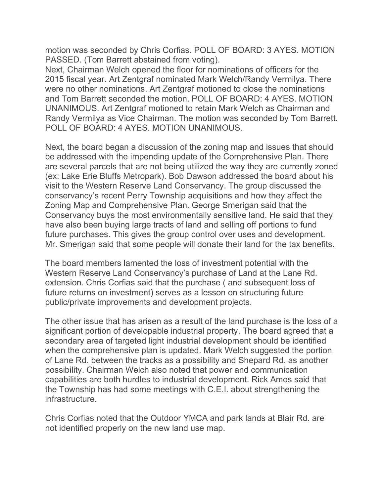motion was seconded by Chris Corfias. POLL OF BOARD: 3 AYES. MOTION PASSED. (Tom Barrett abstained from voting).

Next, Chairman Welch opened the floor for nominations of officers for the 2015 fiscal year. Art Zentgraf nominated Mark Welch/Randy Vermilya. There were no other nominations. Art Zentgraf motioned to close the nominations and Tom Barrett seconded the motion. POLL OF BOARD: 4 AYES. MOTION UNANIMOUS. Art Zentgraf motioned to retain Mark Welch as Chairman and Randy Vermilya as Vice Chairman. The motion was seconded by Tom Barrett. POLL OF BOARD: 4 AYES. MOTION UNANIMOUS.

Next, the board began a discussion of the zoning map and issues that should be addressed with the impending update of the Comprehensive Plan. There are several parcels that are not being utilized the way they are currently zoned (ex: Lake Erie Bluffs Metropark). Bob Dawson addressed the board about his visit to the Western Reserve Land Conservancy. The group discussed the conservancy's recent Perry Township acquisitions and how they affect the Zoning Map and Comprehensive Plan. George Smerigan said that the Conservancy buys the most environmentally sensitive land. He said that they have also been buying large tracts of land and selling off portions to fund future purchases. This gives the group control over uses and development. Mr. Smerigan said that some people will donate their land for the tax benefits.

The board members lamented the loss of investment potential with the Western Reserve Land Conservancy's purchase of Land at the Lane Rd. extension. Chris Corfias said that the purchase ( and subsequent loss of future returns on investment) serves as a lesson on structuring future public/private improvements and development projects.

The other issue that has arisen as a result of the land purchase is the loss of a significant portion of developable industrial property. The board agreed that a secondary area of targeted light industrial development should be identified when the comprehensive plan is updated. Mark Welch suggested the portion of Lane Rd. between the tracks as a possibility and Shepard Rd. as another possibility. Chairman Welch also noted that power and communication capabilities are both hurdles to industrial development. Rick Amos said that the Township has had some meetings with C.E.I. about strengthening the infrastructure.

Chris Corfias noted that the Outdoor YMCA and park lands at Blair Rd. are not identified properly on the new land use map.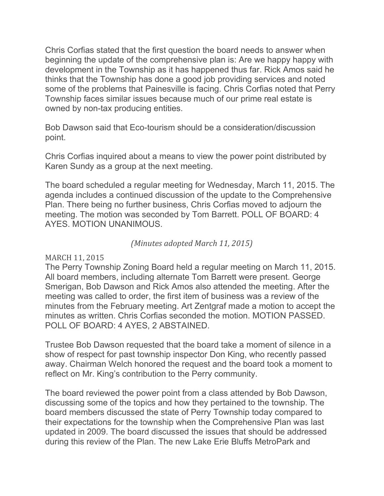Chris Corfias stated that the first question the board needs to answer when beginning the update of the comprehensive plan is: Are we happy happy with development in the Township as it has happened thus far. Rick Amos said he thinks that the Township has done a good job providing services and noted some of the problems that Painesville is facing. Chris Corfias noted that Perry Township faces similar issues because much of our prime real estate is owned by non-tax producing entities.

Bob Dawson said that Eco-tourism should be a consideration/discussion point.

Chris Corfias inquired about a means to view the power point distributed by Karen Sundy as a group at the next meeting.

The board scheduled a regular meeting for Wednesday, March 11, 2015. The agenda includes a continued discussion of the update to the Comprehensive Plan. There being no further business, Chris Corfias moved to adjourn the meeting. The motion was seconded by Tom Barrett. POLL OF BOARD: 4 AYES. MOTION UNANIMOUS.

## (Minutes adopted March 11, 2015)

## MARCH 11, 2015

The Perry Township Zoning Board held a regular meeting on March 11, 2015. All board members, including alternate Tom Barrett were present. George Smerigan, Bob Dawson and Rick Amos also attended the meeting. After the meeting was called to order, the first item of business was a review of the minutes from the February meeting. Art Zentgraf made a motion to accept the minutes as written. Chris Corfias seconded the motion. MOTION PASSED. POLL OF BOARD: 4 AYES, 2 ABSTAINED.

Trustee Bob Dawson requested that the board take a moment of silence in a show of respect for past township inspector Don King, who recently passed away. Chairman Welch honored the request and the board took a moment to reflect on Mr. King's contribution to the Perry community.

The board reviewed the power point from a class attended by Bob Dawson, discussing some of the topics and how they pertained to the township. The board members discussed the state of Perry Township today compared to their expectations for the township when the Comprehensive Plan was last updated in 2009. The board discussed the issues that should be addressed during this review of the Plan. The new Lake Erie Bluffs MetroPark and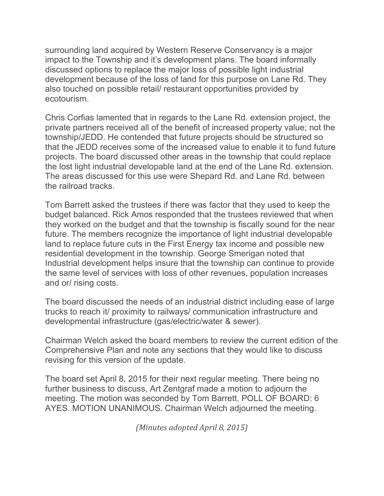surrounding land acquired by Western Reserve Conservancy is a major impact to the Township and it's development plans. The board informally discussed options to replace the major loss of possible light industrial development because of the loss of land for this purpose on Lane Rd. They also touched on possible retail/ restaurant opportunities provided by ecotourism.

Chris Corfias lamented that in regards to the Lane Rd. extension project, the private partners received all of the benefit of increased property value; not the township/JEDD. He contended that future projects should be structured so that the JEDD receives some of the increased value to enable it to fund future projects. The board discussed other areas in the township that could replace the lost light industrial developable land at the end of the Lane Rd. extension. The areas discussed for this use were Shepard Rd. and Lane Rd. between the railroad tracks.

Tom Barrett asked the trustees if there was factor that they used to keep the budget balanced. Rick Amos responded that the trustees reviewed that when they worked on the budget and that the township is fiscally sound for the near future. The members recognize the importance of light industrial developable land to replace future cuts in the First Energy tax income and possible new residential development in the township. George Smerigan noted that Industrial development helps insure that the township can continue to provide the same level of services with loss of other revenues, population increases and or/ rising costs.

The board discussed the needs of an industrial district including ease of large trucks to reach it/ proximity to railways/ communication infrastructure and developmental infrastructure (gas/electric/water & sewer).

Chairman Welch asked the board members to review the current edition of the Comprehensive Plan and note any sections that they would like to discuss revising for this version of the update.

The board set April 8, 2015 for their next regular meeting. There being no further business to discuss, Art Zentgraf made a motion to adjourn the meeting. The motion was seconded by Tom Barrett. POLL OF BOARD: 6 AYES. MOTION UNANIMOUS. Chairman Welch adjourned the meeting.

(Minutes adopted April 8, 2015)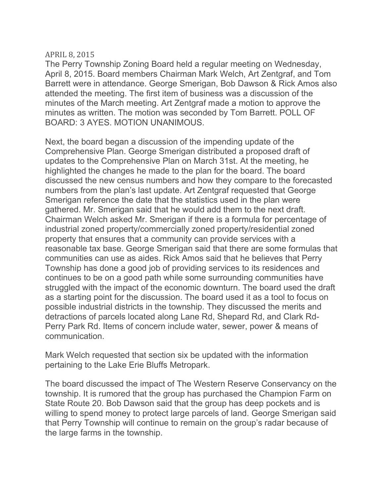#### APRIL 8, 2015

The Perry Township Zoning Board held a regular meeting on Wednesday, April 8, 2015. Board members Chairman Mark Welch, Art Zentgraf, and Tom Barrett were in attendance. George Smerigan, Bob Dawson & Rick Amos also attended the meeting. The first item of business was a discussion of the minutes of the March meeting. Art Zentgraf made a motion to approve the minutes as written. The motion was seconded by Tom Barrett. POLL OF BOARD: 3 AYES. MOTION UNANIMOUS.

Next, the board began a discussion of the impending update of the Comprehensive Plan. George Smerigan distributed a proposed draft of updates to the Comprehensive Plan on March 31st. At the meeting, he highlighted the changes he made to the plan for the board. The board discussed the new census numbers and how they compare to the forecasted numbers from the plan's last update. Art Zentgraf requested that George Smerigan reference the date that the statistics used in the plan were gathered. Mr. Smerigan said that he would add them to the next draft. Chairman Welch asked Mr. Smerigan if there is a formula for percentage of industrial zoned property/commercially zoned property/residential zoned property that ensures that a community can provide services with a reasonable tax base. George Smerigan said that there are some formulas that communities can use as aides. Rick Amos said that he believes that Perry Township has done a good job of providing services to its residences and continues to be on a good path while some surrounding communities have struggled with the impact of the economic downturn. The board used the draft as a starting point for the discussion. The board used it as a tool to focus on possible industrial districts in the township. They discussed the merits and detractions of parcels located along Lane Rd, Shepard Rd, and Clark Rd-Perry Park Rd. Items of concern include water, sewer, power & means of communication.

Mark Welch requested that section six be updated with the information pertaining to the Lake Erie Bluffs Metropark.

The board discussed the impact of The Western Reserve Conservancy on the township. It is rumored that the group has purchased the Champion Farm on State Route 20. Bob Dawson said that the group has deep pockets and is willing to spend money to protect large parcels of land. George Smerigan said that Perry Township will continue to remain on the group's radar because of the large farms in the township.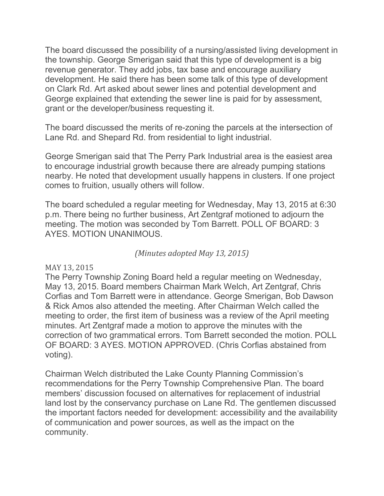The board discussed the possibility of a nursing/assisted living development in the township. George Smerigan said that this type of development is a big revenue generator. They add jobs, tax base and encourage auxiliary development. He said there has been some talk of this type of development on Clark Rd. Art asked about sewer lines and potential development and George explained that extending the sewer line is paid for by assessment, grant or the developer/business requesting it.

The board discussed the merits of re-zoning the parcels at the intersection of Lane Rd. and Shepard Rd. from residential to light industrial.

George Smerigan said that The Perry Park Industrial area is the easiest area to encourage industrial growth because there are already pumping stations nearby. He noted that development usually happens in clusters. If one project comes to fruition, usually others will follow.

The board scheduled a regular meeting for Wednesday, May 13, 2015 at 6:30 p.m. There being no further business, Art Zentgraf motioned to adjourn the meeting. The motion was seconded by Tom Barrett. POLL OF BOARD: 3 AYES. MOTION UNANIMOUS.

## (Minutes adopted May 13, 2015)

## MAY 13, 2015

The Perry Township Zoning Board held a regular meeting on Wednesday, May 13, 2015. Board members Chairman Mark Welch, Art Zentgraf, Chris Corfias and Tom Barrett were in attendance. George Smerigan, Bob Dawson & Rick Amos also attended the meeting. After Chairman Welch called the meeting to order, the first item of business was a review of the April meeting minutes. Art Zentgraf made a motion to approve the minutes with the correction of two grammatical errors. Tom Barrett seconded the motion. POLL OF BOARD: 3 AYES. MOTION APPROVED. (Chris Corfias abstained from voting).

Chairman Welch distributed the Lake County Planning Commission's recommendations for the Perry Township Comprehensive Plan. The board members' discussion focused on alternatives for replacement of industrial land lost by the conservancy purchase on Lane Rd. The gentlemen discussed the important factors needed for development: accessibility and the availability of communication and power sources, as well as the impact on the community.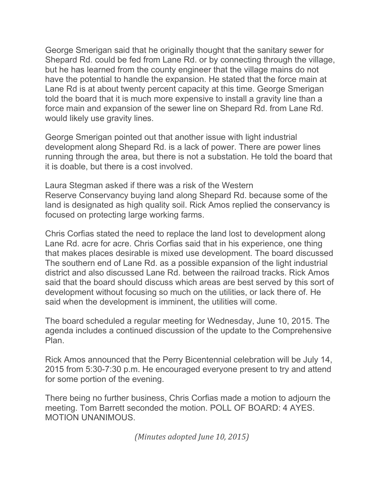George Smerigan said that he originally thought that the sanitary sewer for Shepard Rd. could be fed from Lane Rd. or by connecting through the village, but he has learned from the county engineer that the village mains do not have the potential to handle the expansion. He stated that the force main at Lane Rd is at about twenty percent capacity at this time. George Smerigan told the board that it is much more expensive to install a gravity line than a force main and expansion of the sewer line on Shepard Rd. from Lane Rd. would likely use gravity lines.

George Smerigan pointed out that another issue with light industrial development along Shepard Rd. is a lack of power. There are power lines running through the area, but there is not a substation. He told the board that it is doable, but there is a cost involved.

Laura Stegman asked if there was a risk of the Western Reserve Conservancy buying land along Shepard Rd. because some of the land is designated as high quality soil. Rick Amos replied the conservancy is focused on protecting large working farms.

Chris Corfias stated the need to replace the land lost to development along Lane Rd. acre for acre. Chris Corfias said that in his experience, one thing that makes places desirable is mixed use development. The board discussed The southern end of Lane Rd. as a possible expansion of the light industrial district and also discussed Lane Rd. between the railroad tracks. Rick Amos said that the board should discuss which areas are best served by this sort of development without focusing so much on the utilities, or lack there of. He said when the development is imminent, the utilities will come.

The board scheduled a regular meeting for Wednesday, June 10, 2015. The agenda includes a continued discussion of the update to the Comprehensive Plan.

Rick Amos announced that the Perry Bicentennial celebration will be July 14, 2015 from 5:30-7:30 p.m. He encouraged everyone present to try and attend for some portion of the evening.

There being no further business, Chris Corfias made a motion to adjourn the meeting. Tom Barrett seconded the motion. POLL OF BOARD: 4 AYES. MOTION UNANIMOUS.

(Minutes adopted June 10, 2015)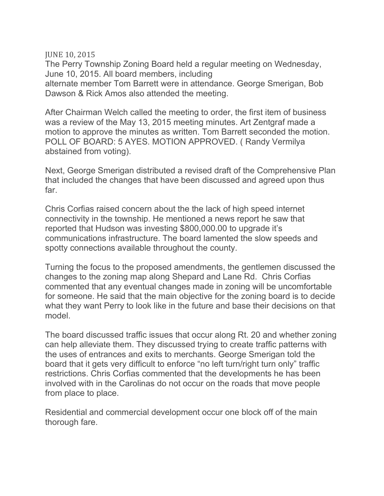JUNE 10, 2015

The Perry Township Zoning Board held a regular meeting on Wednesday, June 10, 2015. All board members, including alternate member Tom Barrett were in attendance. George Smerigan, Bob Dawson & Rick Amos also attended the meeting.

After Chairman Welch called the meeting to order, the first item of business was a review of the May 13, 2015 meeting minutes. Art Zentgraf made a motion to approve the minutes as written. Tom Barrett seconded the motion. POLL OF BOARD: 5 AYES. MOTION APPROVED. ( Randy Vermilya abstained from voting).

Next, George Smerigan distributed a revised draft of the Comprehensive Plan that included the changes that have been discussed and agreed upon thus far.

Chris Corfias raised concern about the the lack of high speed internet connectivity in the township. He mentioned a news report he saw that reported that Hudson was investing \$800,000.00 to upgrade it's communications infrastructure. The board lamented the slow speeds and spotty connections available throughout the county.

Turning the focus to the proposed amendments, the gentlemen discussed the changes to the zoning map along Shepard and Lane Rd. Chris Corfias commented that any eventual changes made in zoning will be uncomfortable for someone. He said that the main objective for the zoning board is to decide what they want Perry to look like in the future and base their decisions on that model.

The board discussed traffic issues that occur along Rt. 20 and whether zoning can help alleviate them. They discussed trying to create traffic patterns with the uses of entrances and exits to merchants. George Smerigan told the board that it gets very difficult to enforce "no left turn/right turn only" traffic restrictions. Chris Corfias commented that the developments he has been involved with in the Carolinas do not occur on the roads that move people from place to place.

Residential and commercial development occur one block off of the main thorough fare.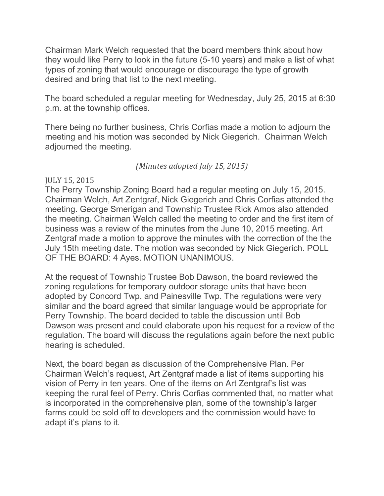Chairman Mark Welch requested that the board members think about how they would like Perry to look in the future (5-10 years) and make a list of what types of zoning that would encourage or discourage the type of growth desired and bring that list to the next meeting.

The board scheduled a regular meeting for Wednesday, July 25, 2015 at 6:30 p.m. at the township offices.

There being no further business, Chris Corfias made a motion to adjourn the meeting and his motion was seconded by Nick Giegerich. Chairman Welch adjourned the meeting.

## (Minutes adopted July 15, 2015)

## JULY 15, 2015

The Perry Township Zoning Board had a regular meeting on July 15, 2015. Chairman Welch, Art Zentgraf, Nick Giegerich and Chris Corfias attended the meeting. George Smerigan and Township Trustee Rick Amos also attended the meeting. Chairman Welch called the meeting to order and the first item of business was a review of the minutes from the June 10, 2015 meeting. Art Zentgraf made a motion to approve the minutes with the correction of the the July 15th meeting date. The motion was seconded by Nick Giegerich. POLL OF THE BOARD: 4 Ayes. MOTION UNANIMOUS.

At the request of Township Trustee Bob Dawson, the board reviewed the zoning regulations for temporary outdoor storage units that have been adopted by Concord Twp. and Painesville Twp. The regulations were very similar and the board agreed that similar language would be appropriate for Perry Township. The board decided to table the discussion until Bob Dawson was present and could elaborate upon his request for a review of the regulation. The board will discuss the regulations again before the next public hearing is scheduled.

Next, the board began as discussion of the Comprehensive Plan. Per Chairman Welch's request, Art Zentgraf made a list of items supporting his vision of Perry in ten years. One of the items on Art Zentgraf's list was keeping the rural feel of Perry. Chris Corfias commented that, no matter what is incorporated in the comprehensive plan, some of the township's larger farms could be sold off to developers and the commission would have to adapt it's plans to it.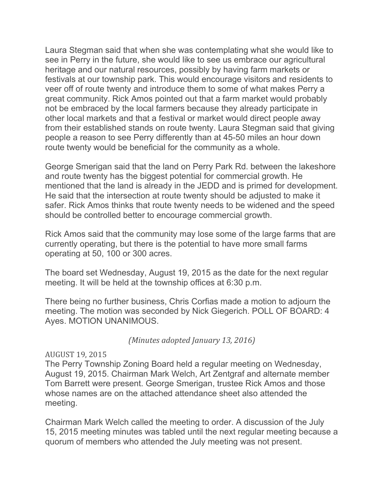Laura Stegman said that when she was contemplating what she would like to see in Perry in the future, she would like to see us embrace our agricultural heritage and our natural resources, possibly by having farm markets or festivals at our township park. This would encourage visitors and residents to veer off of route twenty and introduce them to some of what makes Perry a great community. Rick Amos pointed out that a farm market would probably not be embraced by the local farmers because they already participate in other local markets and that a festival or market would direct people away from their established stands on route twenty. Laura Stegman said that giving people a reason to see Perry differently than at 45-50 miles an hour down route twenty would be beneficial for the community as a whole.

George Smerigan said that the land on Perry Park Rd. between the lakeshore and route twenty has the biggest potential for commercial growth. He mentioned that the land is already in the JEDD and is primed for development. He said that the intersection at route twenty should be adjusted to make it safer. Rick Amos thinks that route twenty needs to be widened and the speed should be controlled better to encourage commercial growth.

Rick Amos said that the community may lose some of the large farms that are currently operating, but there is the potential to have more small farms operating at 50, 100 or 300 acres.

The board set Wednesday, August 19, 2015 as the date for the next regular meeting. It will be held at the township offices at 6:30 p.m.

There being no further business, Chris Corfias made a motion to adjourn the meeting. The motion was seconded by Nick Giegerich. POLL OF BOARD: 4 Ayes. MOTION UNANIMOUS.

(Minutes adopted January 13, 2016)

## AUGUST 19, 2015

The Perry Township Zoning Board held a regular meeting on Wednesday, August 19, 2015. Chairman Mark Welch, Art Zentgraf and alternate member Tom Barrett were present. George Smerigan, trustee Rick Amos and those whose names are on the attached attendance sheet also attended the meeting.

Chairman Mark Welch called the meeting to order. A discussion of the July 15, 2015 meeting minutes was tabled until the next regular meeting because a quorum of members who attended the July meeting was not present.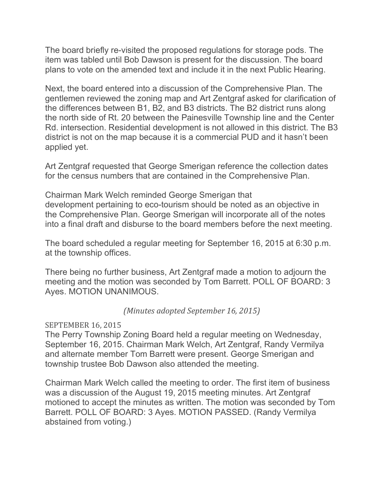The board briefly re-visited the proposed regulations for storage pods. The item was tabled until Bob Dawson is present for the discussion. The board plans to vote on the amended text and include it in the next Public Hearing.

Next, the board entered into a discussion of the Comprehensive Plan. The gentlemen reviewed the zoning map and Art Zentgraf asked for clarification of the differences between B1, B2, and B3 districts. The B2 district runs along the north side of Rt. 20 between the Painesville Township line and the Center Rd. intersection. Residential development is not allowed in this district. The B3 district is not on the map because it is a commercial PUD and it hasn't been applied yet.

Art Zentgraf requested that George Smerigan reference the collection dates for the census numbers that are contained in the Comprehensive Plan.

Chairman Mark Welch reminded George Smerigan that development pertaining to eco-tourism should be noted as an objective in the Comprehensive Plan. George Smerigan will incorporate all of the notes into a final draft and disburse to the board members before the next meeting.

The board scheduled a regular meeting for September 16, 2015 at 6:30 p.m. at the township offices.

There being no further business, Art Zentgraf made a motion to adjourn the meeting and the motion was seconded by Tom Barrett. POLL OF BOARD: 3 Ayes. MOTION UNANIMOUS.

(Minutes adopted September 16, 2015)

## SEPTEMBER 16, 2015

The Perry Township Zoning Board held a regular meeting on Wednesday, September 16, 2015. Chairman Mark Welch, Art Zentgraf, Randy Vermilya and alternate member Tom Barrett were present. George Smerigan and township trustee Bob Dawson also attended the meeting.

Chairman Mark Welch called the meeting to order. The first item of business was a discussion of the August 19, 2015 meeting minutes. Art Zentgraf motioned to accept the minutes as written. The motion was seconded by Tom Barrett. POLL OF BOARD: 3 Ayes. MOTION PASSED. (Randy Vermilya abstained from voting.)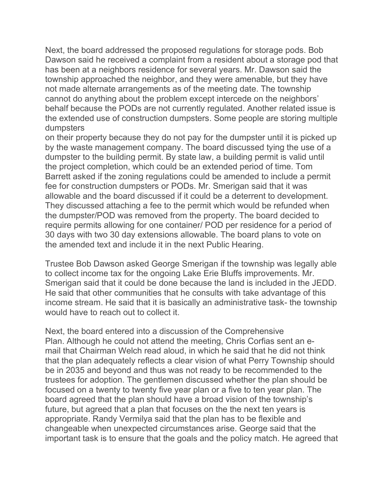Next, the board addressed the proposed regulations for storage pods. Bob Dawson said he received a complaint from a resident about a storage pod that has been at a neighbors residence for several years. Mr. Dawson said the township approached the neighbor, and they were amenable, but they have not made alternate arrangements as of the meeting date. The township cannot do anything about the problem except intercede on the neighbors' behalf because the PODs are not currently regulated. Another related issue is the extended use of construction dumpsters. Some people are storing multiple dumpsters

on their property because they do not pay for the dumpster until it is picked up by the waste management company. The board discussed tying the use of a dumpster to the building permit. By state law, a building permit is valid until the project completion, which could be an extended period of time. Tom Barrett asked if the zoning regulations could be amended to include a permit fee for construction dumpsters or PODs. Mr. Smerigan said that it was allowable and the board discussed if it could be a deterrent to development. They discussed attaching a fee to the permit which would be refunded when the dumpster/POD was removed from the property. The board decided to require permits allowing for one container/ POD per residence for a period of 30 days with two 30 day extensions allowable. The board plans to vote on the amended text and include it in the next Public Hearing.

Trustee Bob Dawson asked George Smerigan if the township was legally able to collect income tax for the ongoing Lake Erie Bluffs improvements. Mr. Smerigan said that it could be done because the land is included in the JEDD. He said that other communities that he consults with take advantage of this income stream. He said that it is basically an administrative task- the township would have to reach out to collect it.

Next, the board entered into a discussion of the Comprehensive Plan. Although he could not attend the meeting, Chris Corfias sent an email that Chairman Welch read aloud, in which he said that he did not think that the plan adequately reflects a clear vision of what Perry Township should be in 2035 and beyond and thus was not ready to be recommended to the trustees for adoption. The gentlemen discussed whether the plan should be focused on a twenty to twenty five year plan or a five to ten year plan. The board agreed that the plan should have a broad vision of the township's future, but agreed that a plan that focuses on the the next ten years is appropriate. Randy Vermilya said that the plan has to be flexible and changeable when unexpected circumstances arise. George said that the important task is to ensure that the goals and the policy match. He agreed that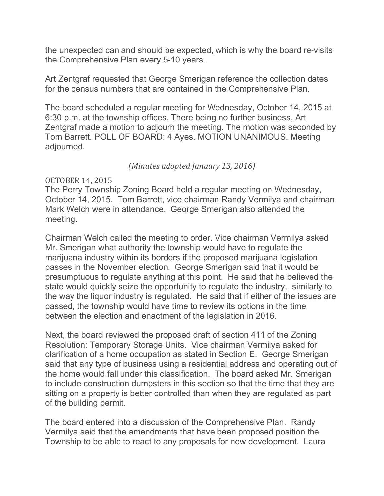the unexpected can and should be expected, which is why the board re-visits the Comprehensive Plan every 5-10 years.

Art Zentgraf requested that George Smerigan reference the collection dates for the census numbers that are contained in the Comprehensive Plan.

The board scheduled a regular meeting for Wednesday, October 14, 2015 at 6:30 p.m. at the township offices. There being no further business, Art Zentgraf made a motion to adjourn the meeting. The motion was seconded by Tom Barrett. POLL OF BOARD: 4 Ayes. MOTION UNANIMOUS. Meeting adjourned.

(Minutes adopted January 13, 2016)

#### OCTOBER 14, 2015

The Perry Township Zoning Board held a regular meeting on Wednesday, October 14, 2015. Tom Barrett, vice chairman Randy Vermilya and chairman Mark Welch were in attendance. George Smerigan also attended the meeting.

Chairman Welch called the meeting to order. Vice chairman Vermilya asked Mr. Smerigan what authority the township would have to regulate the marijuana industry within its borders if the proposed marijuana legislation passes in the November election. George Smerigan said that it would be presumptuous to regulate anything at this point. He said that he believed the state would quickly seize the opportunity to regulate the industry, similarly to the way the liquor industry is regulated. He said that if either of the issues are passed, the township would have time to review its options in the time between the election and enactment of the legislation in 2016.

Next, the board reviewed the proposed draft of section 411 of the Zoning Resolution: Temporary Storage Units. Vice chairman Vermilya asked for clarification of a home occupation as stated in Section E. George Smerigan said that any type of business using a residential address and operating out of the home would fall under this classification. The board asked Mr. Smerigan to include construction dumpsters in this section so that the time that they are sitting on a property is better controlled than when they are regulated as part of the building permit.

The board entered into a discussion of the Comprehensive Plan. Randy Vermilya said that the amendments that have been proposed position the Township to be able to react to any proposals for new development. Laura